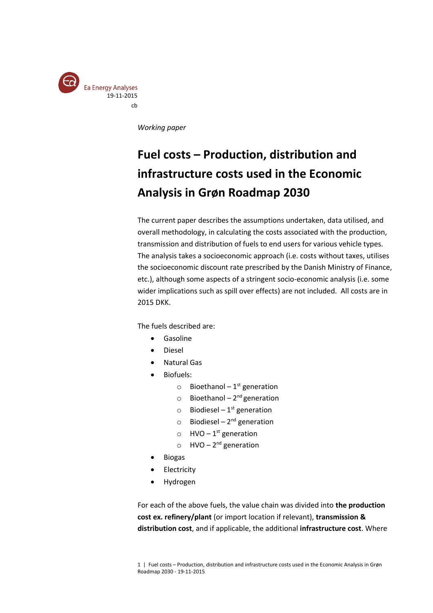

*Working paper*

# **Fuel costs – Production, distribution and infrastructure costs used in the Economic Analysis in Grøn Roadmap 2030**

The current paper describes the assumptions undertaken, data utilised, and overall methodology, in calculating the costs associated with the production, transmission and distribution of fuels to end users for various vehicle types. The analysis takes a socioeconomic approach (i.e. costs without taxes, utilises the socioeconomic discount rate prescribed by the Danish Ministry of Finance, etc.), although some aspects of a stringent socio-economic analysis (i.e. some wider implications such as spill over effects) are not included. All costs are in 2015 DKK.

The fuels described are:

- Gasoline
- Diesel
- Natural Gas
- Biofuels:
	- $\circ$  Bioethanol 1<sup>st</sup> generation
	- $\circ$  Bioethanol 2<sup>nd</sup> generation
	- $\circ$  Biodiesel 1<sup>st</sup> generation
	- $\circ$  Biodiesel 2<sup>nd</sup> generation
	- $\circ$  HVO 1<sup>st</sup> generation
	- $\circ$  HVO 2<sup>nd</sup> generation
- Biogas
- Electricity
- Hydrogen

For each of the above fuels, the value chain was divided into **the production cost ex. refinery/plant** (or import location if relevant), **transmission & distribution cost**, and if applicable, the additional **infrastructure cost**. Where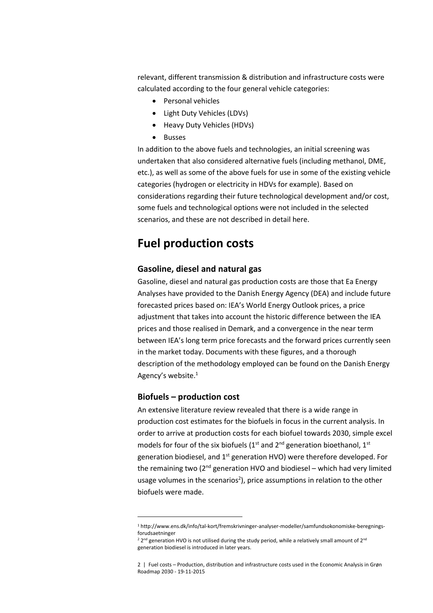relevant, different transmission & distribution and infrastructure costs were calculated according to the four general vehicle categories:

- Personal vehicles
- Light Duty Vehicles (LDVs)
- Heavy Duty Vehicles (HDVs)
- Busses

In addition to the above fuels and technologies, an initial screening was undertaken that also considered alternative fuels (including methanol, DME, etc.), as well as some of the above fuels for use in some of the existing vehicle categories (hydrogen or electricity in HDVs for example). Based on considerations regarding their future technological development and/or cost, some fuels and technological options were not included in the selected scenarios, and these are not described in detail here.

# **Fuel production costs**

#### **Gasoline, diesel and natural gas**

Gasoline, diesel and natural gas production costs are those that Ea Energy Analyses have provided to the Danish Energy Agency (DEA) and include future forecasted prices based on: IEA's World Energy Outlook prices, a price adjustment that takes into account the historic difference between the IEA prices and those realised in Demark, and a convergence in the near term between IEA's long term price forecasts and the forward prices currently seen in the market today. Documents with these figures, and a thorough description of the methodology employed can be found on the Danish Energy Agency's website.<sup>1</sup>

# **Biofuels – production cost**

 $\overline{a}$ 

An extensive literature review revealed that there is a wide range in production cost estimates for the biofuels in focus in the current analysis. In order to arrive at production costs for each biofuel towards 2030, simple excel models for four of the six biofuels ( $1<sup>st</sup>$  and  $2<sup>nd</sup>$  generation bioethanol,  $1<sup>st</sup>$ generation biodiesel, and 1<sup>st</sup> generation HVO) were therefore developed. For the remaining two  $(2^{nd}$  generation HVO and biodiesel – which had very limited usage volumes in the scenarios<sup>2</sup>), price assumptions in relation to the other biofuels were made.

<sup>1</sup> http://www.ens.dk/info/tal-kort/fremskrivninger-analyser-modeller/samfundsokonomiske-beregningsforudsaetninger

<sup>&</sup>lt;sup>2</sup> 2<sup>nd</sup> generation HVO is not utilised during the study period, while a relatively small amount of 2<sup>nd</sup> generation biodiesel is introduced in later years.

<sup>2 |</sup> Fuel costs – Production, distribution and infrastructure costs used in the Economic Analysis in Grøn Roadmap 2030 - 19-11-2015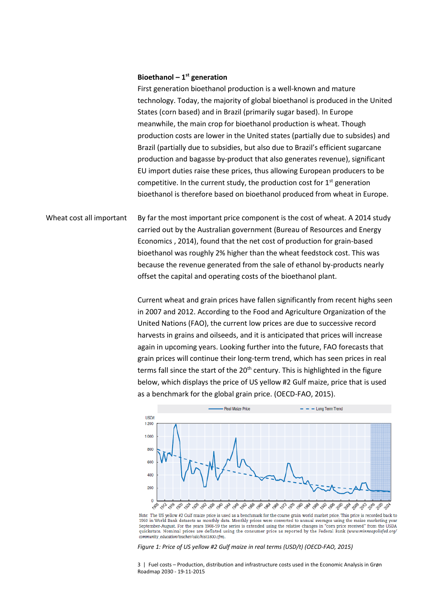#### **Bioethanol – 1 st generation**

First generation bioethanol production is a well-known and mature technology. Today, the majority of global bioethanol is produced in the United States (corn based) and in Brazil (primarily sugar based). In Europe meanwhile, the main crop for bioethanol production is wheat. Though production costs are lower in the United states (partially due to subsides) and Brazil (partially due to subsidies, but also due to Brazil's efficient sugarcane production and bagasse by-product that also generates revenue), significant EU import duties raise these prices, thus allowing European producers to be competitive. In the current study, the production cost for  $1<sup>st</sup>$  generation bioethanol is therefore based on bioethanol produced from wheat in Europe.

By far the most important price component is the cost of wheat. A 2014 study carried out by the Australian government (Bureau of Resources and Energy Economics , 2014), found that the net cost of production for grain-based bioethanol was roughly 2% higher than the wheat feedstock cost. This was because the revenue generated from the sale of ethanol by-products nearly offset the capital and operating costs of the bioethanol plant. Wheat cost all important

> Current wheat and grain prices have fallen significantly from recent highs seen in 2007 and 2012. According to the Food and Agriculture Organization of the United Nations (FAO), the current low prices are due to successive record harvests in grains and oilseeds, and it is anticipated that prices will increase again in upcoming years. Looking further into the future, FAO forecasts that grain prices will continue their long-term trend, which has seen prices in real terms fall since the start of the  $20<sup>th</sup>$  century. This is highlighted in the figure below, which displays the price of US yellow #2 Gulf maize, price that is used as a benchmark for the global grain price. (OECD-FAO, 2015).



Note: The US yellow #2 Gulf maize price is used as a benchmark for the coarse grain world market price. This price is recorded back to 1960 in World Bank datasets as monthly data. Monthly prices were converted to annual averages using the maize marketing year<br>September-August. For the years 1908-59 the series is extended using the relative changes in "cor quickstats. Nominal prices are deflated using the consumer price as reported by the Federal Bank (www.minneapolisfed.org/ unity education/teacher/calc/hist1800.cfm).

<span id="page-2-0"></span>*Figure 1: Price of US yellow #2 Gulf maize in real terms (USD/t) (OECD-FAO, 2015)*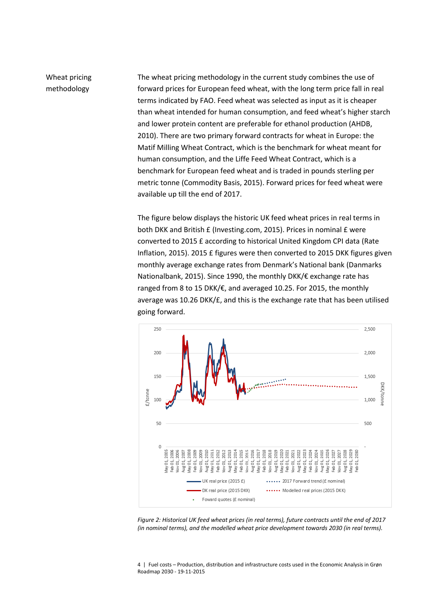# Wheat pricing methodology

The wheat pricing methodology in the current study combines the use of forward prices for European feed wheat, with the long term price fall in real terms indicated by FAO. Feed wheat was selected as input as it is cheaper than wheat intended for human consumption, and feed wheat's higher starch and lower protein content are preferable for ethanol production (AHDB, 2010). There are two primary forward contracts for wheat in Europe: the Matif Milling Wheat Contract, which is the benchmark for wheat meant for human consumption, and the Liffe Feed Wheat Contract, which is a benchmark for European feed wheat and is traded in pounds sterling per metric tonne (Commodity Basis, 2015). Forward prices for feed wheat were available up till the end of 2017.

The figure below displays the historic UK feed wheat prices in real terms in both DKK and British £ (Investing.com, 2015). Prices in nominal £ were converted to 2015 £ according to historical United Kingdom CPI data (Rate Inflation, 2015). 2015 £ figures were then converted to 2015 DKK figures given monthly average exchange rates from Denmark's National bank (Danmarks Nationalbank, 2015). Since 1990, the monthly DKK/€ exchange rate has ranged from 8 to 15 DKK/€, and averaged 10.25. For 2015, the monthly average was 10.26 DKK/£, and this is the exchange rate that has been utilised going forward.



<span id="page-3-0"></span>*Figure 2: Historical UK feed wheat prices (in real terms), future contracts until the end of 2017 (in nominal terms), and the modelled wheat price development towards 2030 (in real terms).*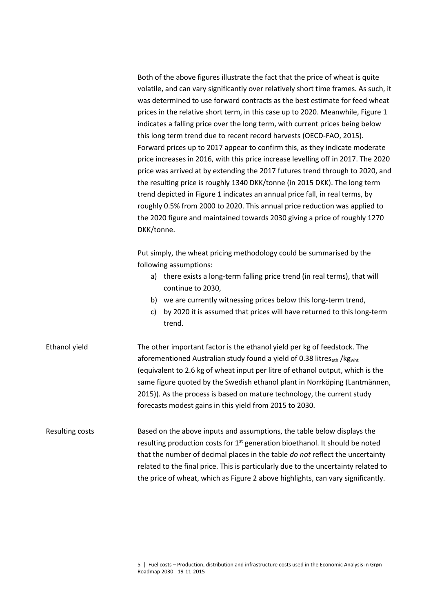Both of the above figures illustrate the fact that the price of wheat is quite volatile, and can vary significantly over relatively short time frames. As such, it was determined to use forward contracts as the best estimate for feed wheat prices in the relative short term, in this case up to 2020. Meanwhile, [Figure 1](#page-2-0) indicates a falling price over the long term, with current prices being below this long term trend due to recent record harvests (OECD-FAO, 2015). Forward prices up to 2017 appear to confirm this, as they indicate moderate price increases in 2016, with this price increase levelling off in 2017. The 2020 price was arrived at by extending the 2017 futures trend through to 2020, and the resulting price is roughly 1340 DKK/tonne (in 2015 DKK). The long term trend depicted i[n Figure 1](#page-2-0) indicates an annual price fall, in real terms, by roughly 0.5% from 2000 to 2020. This annual price reduction was applied to the 2020 figure and maintained towards 2030 giving a price of roughly 1270 DKK/tonne.

Put simply, the wheat pricing methodology could be summarised by the following assumptions:

- a) there exists a long-term falling price trend (in real terms), that will continue to 2030,
- b) we are currently witnessing prices below this long-term trend,
- c) by 2020 it is assumed that prices will have returned to this long-term trend.

The other important factor is the ethanol yield per kg of feedstock. The aforementioned Australian study found a yield of 0.38 litres<sub>eth</sub> /kg<sub>wht</sub> (equivalent to 2.6 kg of wheat input per litre of ethanol output, which is the same figure quoted by the Swedish ethanol plant in Norrköping (Lantmännen, 2015)). As the process is based on mature technology, the current study forecasts modest gains in this yield from 2015 to 2030. Ethanol yield

Based on the above inputs and assumptions, the table below displays the resulting production costs for 1<sup>st</sup> generation bioethanol. It should be noted that the number of decimal places in the table *do not* reflect the uncertainty related to the final price. This is particularly due to the uncertainty related to the price of wheat, which as [Figure 2](#page-3-0) above highlights, can vary significantly. Resulting costs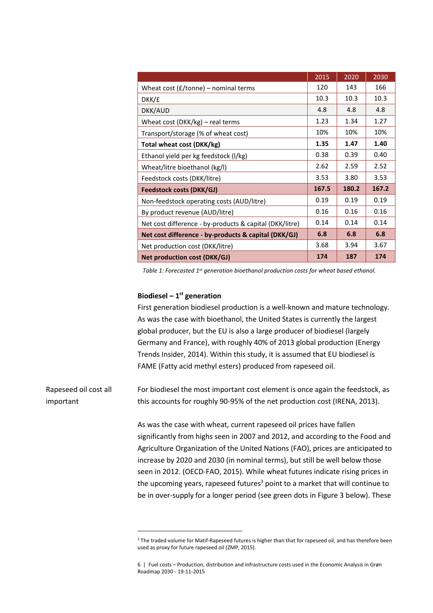|                                                         | 2015 | 2020  | 2030  |
|---------------------------------------------------------|------|-------|-------|
| Wheat cost $(f/t$ onne) – nominal terms                 | 120  | 143   | 166   |
| DKK/£                                                   | 10.3 | 10.3  | 10.3  |
| DKK/AUD                                                 | 4.8  | 4.8   | 4.8   |
| Wheat cost (DKK/kg) - real terms                        | 1.23 | 1.34  | 1.27  |
| Transport/storage (% of wheat cost)                     | 10%  | 10%   | 10%   |
| Total wheat cost (DKK/kg)                               | 1.35 | 1.47  | 1.40  |
| Ethanol yield per kg feedstock (I/kg)                   | 0.38 | 0.39  | 0.40  |
| Wheat/litre bioethanol (kg/l)                           | 2.62 | 2.59  | 2.52  |
| Feedstock costs (DKK/litre)                             |      | 3.80  | 3.53  |
| <b>Feedstock costs (DKK/GJ)</b>                         |      | 180.2 | 167.2 |
| Non-feedstock operating costs (AUD/litre)               | 0.19 | 0.19  | 0.19  |
| By product revenue (AUD/litre)                          | 0.16 | 0.16  | 0.16  |
| Net cost difference - by-products & capital (DKK/litre) | 0.14 | 0.14  | 0.14  |
| Net cost difference - by-products & capital (DKK/GJ)    |      | 6.8   | 6.8   |
| Net production cost (DKK/litre)                         | 3.68 | 3.94  | 3.67  |
| <b>Net production cost (DKK/GJ)</b>                     | 174  | 187   | 174   |

*Table 1: Forecasted 1st generation bioethanol production costs for wheat based ethanol.* 

#### **Biodiesel – 1 st generation**

 $\overline{\phantom{a}}$ 

First generation biodiesel production is a well-known and mature technology. As was the case with bioethanol, the United States is currently the largest global producer, but the EU is also a large producer of biodiesel (largely Germany and France), with roughly 40% of 2013 global production (Energy Trends Insider, 2014). Within this study, it is assumed that EU biodiesel is FAME (Fatty acid methyl esters) produced from rapeseed oil.

For biodiesel the most important cost element is once again the feedstock, as this accounts for roughly 90-95% of the net production cost (IRENA, 2013). Rapeseed oil cost all important

> As was the case with wheat, current rapeseed oil prices have fallen significantly from highs seen in 2007 and 2012, and according to the Food and Agriculture Organization of the United Nations (FAO), prices are anticipated to increase by 2020 and 2030 (in nominal terms), but still be well below those seen in 2012. (OECD-FAO, 2015). While wheat futures indicate rising prices in the upcoming years, rapeseed futures<sup>3</sup> point to a market that will continue to be in over-supply for a longer period (see green dots in [Figure 3](#page-6-0) below). These

<sup>&</sup>lt;sup>3</sup> The traded volume for Matif-Rapeseed futures is higher than that for rapeseed oil, and has therefore been used as proxy for future rapeseed oil (ZMP, 2015).

<sup>6 |</sup> Fuel costs – Production, distribution and infrastructure costs used in the Economic Analysis in Grøn Roadmap 2030 - 19-11-2015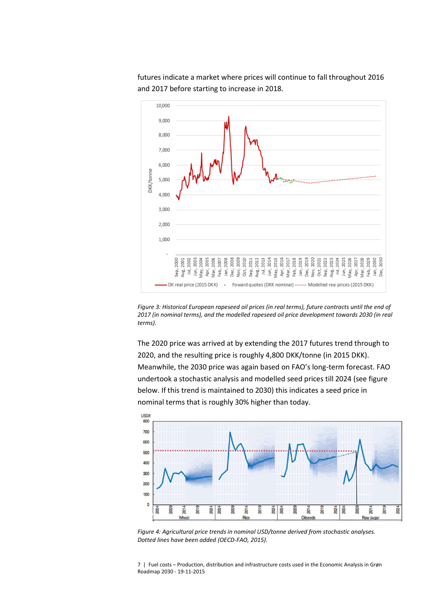

futures indicate a market where prices will continue to fall throughout 2016 and 2017 before starting to increase in 2018.

<span id="page-6-0"></span>*Figure 3: Historical European rapeseed oil prices (in real terms), future contracts until the end of 2017 (in nominal terms), and the modelled rapeseed oil price development towards 2030 (in real terms).*

The 2020 price was arrived at by extending the 2017 futures trend through to 2020, and the resulting price is roughly 4,800 DKK/tonne (in 2015 DKK). Meanwhile, the 2030 price was again based on FAO's long-term forecast. FAO undertook a stochastic analysis and modelled seed prices till 2024 (see figure below. If this trend is maintained to 2030) this indicates a seed price in nominal terms that is roughly 30% higher than today.



<span id="page-6-1"></span>*Figure 4: Agricultural price trends in nominal USD/tonne derived from stochastic analyses. Dotted lines have been added (OECD-FAO, 2015).*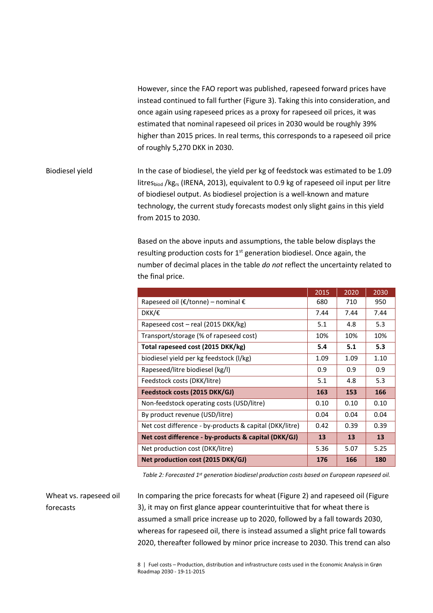However, since the FAO report was published, rapeseed forward prices have instead continued to fall further [\(Figure 3\)](#page-6-0). Taking this into consideration, and once again using rapeseed prices as a proxy for rapeseed oil prices, it was estimated that nominal rapeseed oil prices in 2030 would be roughly 39% higher than 2015 prices. In real terms, this corresponds to a rapeseed oil price of roughly 5,270 DKK in 2030.

## In the case of biodiesel, the yield per kg of feedstock was estimated to be 1.09 litresbiod /kgrs (IRENA, 2013), equivalent to 0.9 kg of rapeseed oil input per litre of biodiesel output. As biodiesel projection is a well-known and mature technology, the current study forecasts modest only slight gains in this yield from 2015 to 2030. Biodiesel yield

Based on the above inputs and assumptions, the table below displays the resulting production costs for  $1<sup>st</sup>$  generation biodiesel. Once again, the number of decimal places in the table *do not* reflect the uncertainty related to the final price.

|                                                         | 2015 | 2020 | 2030 |
|---------------------------------------------------------|------|------|------|
| Rapeseed oil ( $\epsilon$ /tonne) – nominal $\epsilon$  | 680  | 710  | 950  |
| DKK/€                                                   | 7.44 | 7.44 | 7.44 |
| Rapeseed cost – real (2015 DKK/kg)                      | 5.1  | 4.8  | 5.3  |
| Transport/storage (% of rapeseed cost)                  | 10%  | 10%  | 10%  |
| Total rapeseed cost (2015 DKK/kg)                       | 5.4  | 5.1  | 5.3  |
| biodiesel yield per kg feedstock (I/kg)                 | 1.09 | 1.09 | 1.10 |
| Rapeseed/litre biodiesel (kg/l)                         | 0.9  | 0.9  | 0.9  |
| Feedstock costs (DKK/litre)                             | 5.1  | 4.8  | 5.3  |
| Feedstock costs (2015 DKK/GJ)                           | 163  | 153  | 166  |
| Non-feedstock operating costs (USD/litre)               | 0.10 | 0.10 | 0.10 |
| By product revenue (USD/litre)                          | 0.04 | 0.04 | 0.04 |
| Net cost difference - by-products & capital (DKK/litre) | 0.42 | 0.39 | 0.39 |
| Net cost difference - by-products & capital (DKK/GJ)    | 13   | 13   | 13   |
| Net production cost (DKK/litre)                         | 5.36 | 5.07 | 5.25 |
| Net production cost (2015 DKK/GJ)                       | 176  | 166  | 180  |

*Table 2: Forecasted 1st generation biodiesel production costs based on European rapeseed oil.*

In comparing the price forecasts for wheat [\(Figure 2\)](#page-3-0) and rapeseed oil [\(Figure](#page-6-0)  [3\)](#page-6-0), it may on first glance appear counterintuitive that for wheat there is assumed a small price increase up to 2020, followed by a fall towards 2030, whereas for rapeseed oil, there is instead assumed a slight price fall towards 2020, thereafter followed by minor price increase to 2030. This trend can also Wheat vs. rapeseed oil forecasts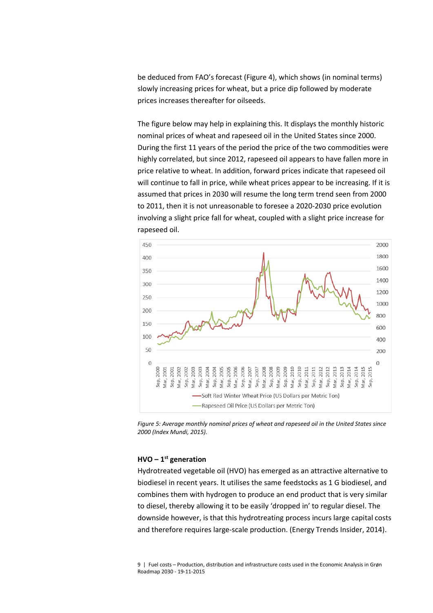be deduced from FAO's forecast ([Figure 4\)](#page-6-1), which shows (in nominal terms) slowly increasing prices for wheat, but a price dip followed by moderate prices increases thereafter for oilseeds.

The figure below may help in explaining this. It displays the monthly historic nominal prices of wheat and rapeseed oil in the United States since 2000. During the first 11 years of the period the price of the two commodities were highly correlated, but since 2012, rapeseed oil appears to have fallen more in price relative to wheat. In addition, forward prices indicate that rapeseed oil will continue to fall in price, while wheat prices appear to be increasing. If it is assumed that prices in 2030 will resume the long term trend seen from 2000 to 2011, then it is not unreasonable to foresee a 2020-2030 price evolution involving a slight price fall for wheat, coupled with a slight price increase for rapeseed oil.



*Figure 5: Average monthly nominal prices of wheat and rapeseed oil in the United States since 2000 (Index Mundi, 2015).*

#### **HVO – 1 st generation**

Hydrotreated vegetable oil (HVO) has emerged as an attractive alternative to biodiesel in recent years. It utilises the same feedstocks as 1 G biodiesel, and combines them with hydrogen to produce an end product that is very similar to diesel, thereby allowing it to be easily 'dropped in' to regular diesel. The downside however, is that this hydrotreating process incurs large capital costs and therefore requires large-scale production. (Energy Trends Insider, 2014).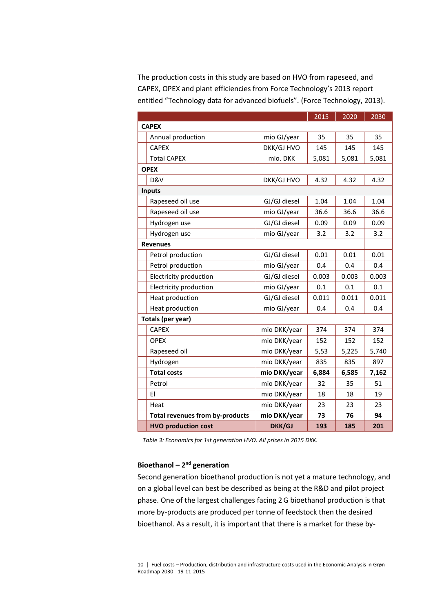The production costs in this study are based on HVO from rapeseed, and CAPEX, OPEX and plant efficiencies from Force Technology's 2013 report entitled "Technology data for advanced biofuels". (Force Technology, 2013).

|                                        |              | 2015  | 2020  | 2030  |
|----------------------------------------|--------------|-------|-------|-------|
| <b>CAPEX</b>                           |              |       |       |       |
| Annual production                      | mio GJ/year  | 35    | 35    | 35    |
| <b>CAPEX</b>                           | DKK/GJ HVO   | 145   | 145   | 145   |
| <b>Total CAPEX</b>                     | mio. DKK     | 5,081 | 5,081 | 5,081 |
| <b>OPEX</b>                            |              |       |       |       |
| D&V                                    | DKK/GJ HVO   | 4.32  | 4.32  | 4.32  |
| <b>Inputs</b>                          |              |       |       |       |
| Rapeseed oil use                       | GJ/GJ diesel | 1.04  | 1.04  | 1.04  |
| Rapeseed oil use                       | mio GJ/year  | 36.6  | 36.6  | 36.6  |
| Hydrogen use                           | GJ/GJ diesel | 0.09  | 0.09  | 0.09  |
| Hydrogen use                           | mio GJ/year  | 3.2   | 3.2   | 3.2   |
| <b>Revenues</b>                        |              |       |       |       |
| Petrol production                      | GJ/GJ diesel | 0.01  | 0.01  | 0.01  |
| Petrol production                      | mio GJ/year  | 0.4   | 0.4   | 0.4   |
| Electricity production                 | GJ/GJ diesel | 0.003 | 0.003 | 0.003 |
| <b>Electricity production</b>          | mio GJ/year  | 0.1   | 0.1   | 0.1   |
| Heat production                        | GJ/GJ diesel | 0.011 | 0.011 | 0.011 |
| Heat production                        | mio GJ/year  | 0.4   | 0.4   | 0.4   |
| <b>Totals (per year)</b>               |              |       |       |       |
| <b>CAPEX</b>                           | mio DKK/year | 374   | 374   | 374   |
| <b>OPEX</b>                            | mio DKK/year | 152   | 152   | 152   |
| Rapeseed oil                           | mio DKK/year | 5,53  | 5,225 | 5,740 |
| Hydrogen                               | mio DKK/year | 835   | 835   | 897   |
| <b>Total costs</b>                     | mio DKK/year | 6,884 | 6,585 | 7,162 |
| Petrol                                 | mio DKK/year | 32    | 35    | 51    |
| EI                                     | mio DKK/year | 18    | 18    | 19    |
| Heat                                   | mio DKK/year | 23    | 23    | 23    |
| <b>Total revenues from by-products</b> | mio DKK/year | 73    | 76    | 94    |
| <b>HVO production cost</b>             | DKK/GJ       | 193   | 185   | 201   |

*Table 3: Economics for 1st generation HVO. All prices in 2015 DKK.*

#### **Bioethanol – 2<sup>nd</sup> generation**

Second generation bioethanol production is not yet a mature technology, and on a global level can best be described as being at the R&D and pilot project phase. One of the largest challenges facing 2G bioethanol production is that more by-products are produced per tonne of feedstock then the desired bioethanol. As a result, it is important that there is a market for these by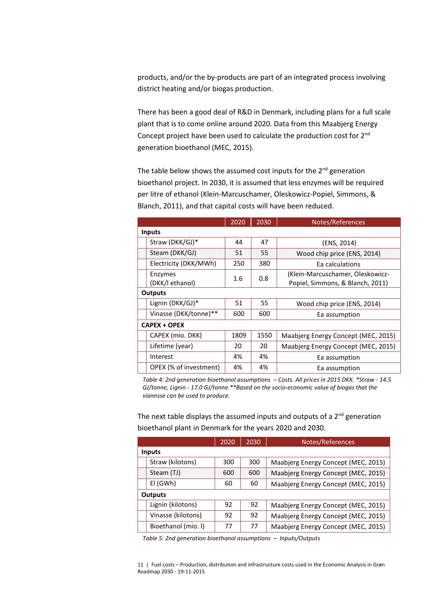products, and/or the by-products are part of an integrated process involving district heating and/or biogas production.

There has been a good deal of R&D in Denmark, including plans for a full scale plant that is to come online around 2020. Data from this Maabjerg Energy Concept project have been used to calculate the production cost for 2nd generation bioethanol (MEC, 2015).

The table below shows the assumed cost inputs for the  $2^{nd}$  generation bioethanol project. In 2030, it is assumed that less enzymes will be required per litre of ethanol (Klein-Marcuschamer, Oleskowicz-Popiel, Simmons, & Blanch, 2011), and that capital costs will have been reduced.

|                        | 2020 | 2030 | Notes/References                    |  |                                  |  |
|------------------------|------|------|-------------------------------------|--|----------------------------------|--|
| <b>Inputs</b>          |      |      |                                     |  |                                  |  |
| Straw (DKK/GJ)*        | 44   | 47   | (ENS, 2014)                         |  |                                  |  |
| Steam (DKK/GJ)         | 51   | 55   | Wood chip price (ENS, 2014)         |  |                                  |  |
| Electricity (DKK/MWh)  | 250  | 380  | Ea calculations                     |  |                                  |  |
| Enzymes                | 1.6  | 0.8  |                                     |  | (Klein-Marcuschamer, Oleskowicz- |  |
| (DKK/l ethanol)        |      |      | Popiel, Simmons, & Blanch, 2011)    |  |                                  |  |
| <b>Outputs</b>         |      |      |                                     |  |                                  |  |
| Lignin (DKK/GJ)*       | 51   | 55   | Wood chip price (ENS, 2014)         |  |                                  |  |
| Vinasse (DKK/tonne)**  | 600  | 600  | Ea assumption                       |  |                                  |  |
| <b>CAPEX + OPEX</b>    |      |      |                                     |  |                                  |  |
| CAPEX (mio. DKK)       | 1809 | 1550 | Maabjerg Energy Concept (MEC, 2015) |  |                                  |  |
| Lifetime (year)        | 20   | 20   | Maabjerg Energy Concept (MEC, 2015) |  |                                  |  |
| Interest               | 4%   | 4%   | Ea assumption                       |  |                                  |  |
| OPEX (% of investment) | 4%   | 4%   | Ea assumption                       |  |                                  |  |

*Table 4: 2nd generation bioethanol assumptions – Costs. All prices in 2015 DKK. \*Straw - 14.5 GJ/tonne, Lignin - 17.0 GJ/tonne.\*\*Based on the socio-economic value of biogas that the viannsse can be used to produce.*

The next table displays the assumed inputs and outputs of a  $2<sup>nd</sup>$  generation bioethanol plant in Denmark for the years 2020 and 2030.

|                |                     | 2020 | 2030 | Notes/References                    |  |
|----------------|---------------------|------|------|-------------------------------------|--|
| <b>Inputs</b>  |                     |      |      |                                     |  |
|                | Straw (kilotons)    | 300  | 300  | Maabjerg Energy Concept (MEC, 2015) |  |
|                | Steam (TJ)          | 600  | 600  | Maabjerg Energy Concept (MEC, 2015) |  |
|                | El (GWh)            | 60   | 60   | Maabjerg Energy Concept (MEC, 2015) |  |
| <b>Outputs</b> |                     |      |      |                                     |  |
|                | Lignin (kilotons)   | 92   | 92   | Maabjerg Energy Concept (MEC, 2015) |  |
|                | Vinasse (kilotons)  | 92   | 92   | Maabjerg Energy Concept (MEC, 2015) |  |
|                | Bioethanol (mio. I) | 77   | 77   | Maabjerg Energy Concept (MEC, 2015) |  |

*Table 5: 2nd generation bioethanol assumptions – Inputs/Outputs*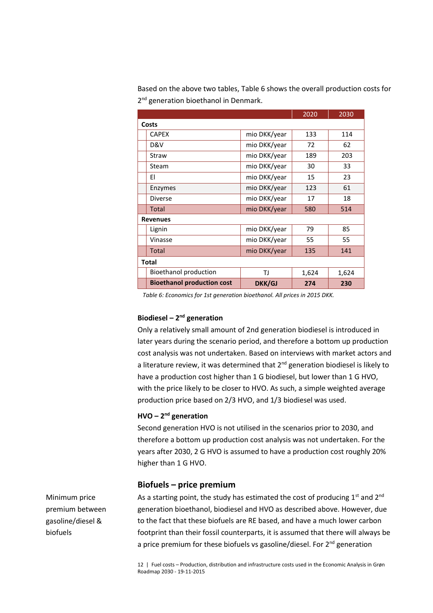|                                   |              | 2020  | 2030  |  |
|-----------------------------------|--------------|-------|-------|--|
| Costs                             |              |       |       |  |
| <b>CAPEX</b>                      | mio DKK/year | 133   | 114   |  |
| D&V                               | mio DKK/year | 72    | 62    |  |
| Straw                             | mio DKK/year | 189   | 203   |  |
| Steam                             | mio DKK/year | 30    | 33    |  |
| EI                                | mio DKK/year | 15    | 23    |  |
| Enzymes                           | mio DKK/year | 123   | 61    |  |
| <b>Diverse</b>                    | mio DKK/year | 17    | 18    |  |
| <b>Total</b>                      | mio DKK/year | 580   | 514   |  |
| <b>Revenues</b>                   |              |       |       |  |
| Lignin                            | mio DKK/year | 79    | 85    |  |
| Vinasse                           | mio DKK/year | 55    | 55    |  |
| <b>Total</b>                      | mio DKK/year | 135   | 141   |  |
| <b>Total</b>                      |              |       |       |  |
| Bioethanol production             | TJ           | 1,624 | 1,624 |  |
| <b>Bioethanol production cost</b> | DKK/GJ       | 274   | 230   |  |

Based on the above two tables, [Table 6](#page-11-0) shows the overall production costs for 2<sup>nd</sup> generation bioethanol in Denmark.

<span id="page-11-0"></span>*Table 6: Economics for 1st generation bioethanol. All prices in 2015 DKK.*

#### **Biodiesel – 2<sup>nd</sup> generation**

Only a relatively small amount of 2nd generation biodiesel is introduced in later years during the scenario period, and therefore a bottom up production cost analysis was not undertaken. Based on interviews with market actors and a literature review, it was determined that  $2^{nd}$  generation biodiesel is likely to have a production cost higher than 1 G biodiesel, but lower than 1 G HVO, with the price likely to be closer to HVO. As such, a simple weighted average production price based on 2/3 HVO, and 1/3 biodiesel was used.

#### **HVO – 2 nd generation**

Second generation HVO is not utilised in the scenarios prior to 2030, and therefore a bottom up production cost analysis was not undertaken. For the years after 2030, 2 G HVO is assumed to have a production cost roughly 20% higher than 1 G HVO.

#### **Biofuels – price premium**

As a starting point, the study has estimated the cost of producing  $1<sup>st</sup>$  and  $2<sup>nd</sup>$ generation bioethanol, biodiesel and HVO as described above. However, due to the fact that these biofuels are RE based, and have a much lower carbon footprint than their fossil counterparts, it is assumed that there will always be a price premium for these biofuels vs gasoline/diesel. For 2<sup>nd</sup> generation

12 | Fuel costs – Production, distribution and infrastructure costs used in the Economic Analysis in Grøn Roadmap 2030 - 19-11-2015

Minimum price premium between gasoline/diesel & biofuels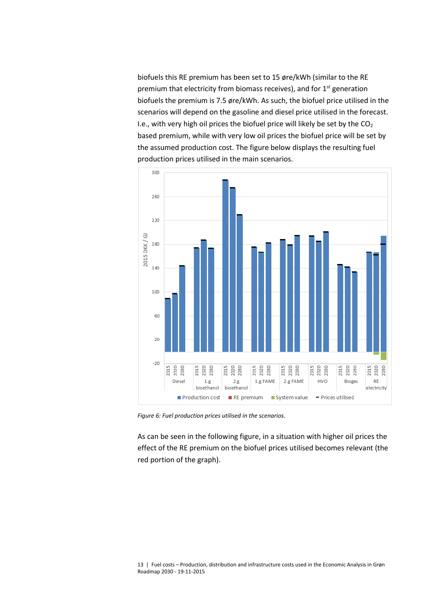biofuels this RE premium has been set to 15 øre/kWh (similar to the RE premium that electricity from biomass receives), and for  $1<sup>st</sup>$  generation biofuels the premium is 7.5 øre/kWh. As such, the biofuel price utilised in the scenarios will depend on the gasoline and diesel price utilised in the forecast. I.e., with very high oil prices the biofuel price will likely be set by the  $CO<sub>2</sub>$ based premium, while with very low oil prices the biofuel price will be set by the assumed production cost. The figure below displays the resulting fuel production prices utilised in the main scenarios.



*Figure 6: Fuel production prices utilised in the scenarios.*

As can be seen in the following figure, in a situation with higher oil prices the effect of the RE premium on the biofuel prices utilised becomes relevant (the red portion of the graph).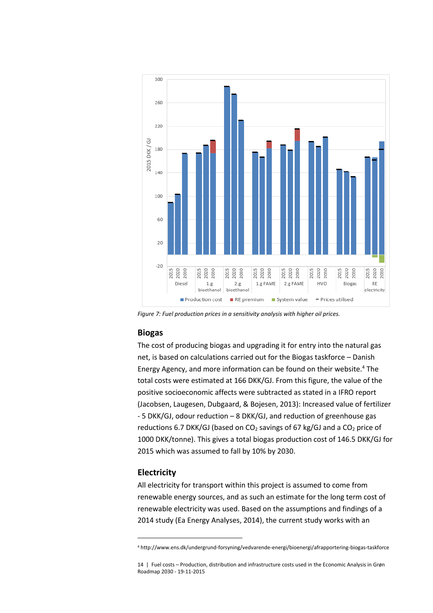

*Figure 7: Fuel production prices in a sensitivity analysis with higher oil prices.*

#### **Biogas**

The cost of producing biogas and upgrading it for entry into the natural gas net, is based on calculations carried out for the Biogas taskforce – Danish Energy Agency, and more information can be found on their website.<sup>4</sup> The total costs were estimated at 166 DKK/GJ. From this figure, the value of the positive socioeconomic affects were subtracted as stated in a IFRO report (Jacobsen, Laugesen, Dubgaard, & Bojesen, 2013): Increased value of fertilizer - 5 DKK/GJ, odour reduction – 8 DKK/GJ, and reduction of greenhouse gas reductions 6.7 DKK/GJ (based on  $CO<sub>2</sub>$  savings of 67 kg/GJ and a  $CO<sub>2</sub>$  price of 1000 DKK/tonne). This gives a total biogas production cost of 146.5 DKK/GJ for 2015 which was assumed to fall by 10% by 2030.

#### **Electricity**

l

All electricity for transport within this project is assumed to come from renewable energy sources, and as such an estimate for the long term cost of renewable electricity was used. Based on the assumptions and findings of a 2014 study (Ea Energy Analyses, 2014), the current study works with an

<sup>4</sup> http://www.ens.dk/undergrund-forsyning/vedvarende-energi/bioenergi/afrapportering-biogas-taskforce

<sup>14 |</sup> Fuel costs – Production, distribution and infrastructure costs used in the Economic Analysis in Grøn Roadmap 2030 - 19-11-2015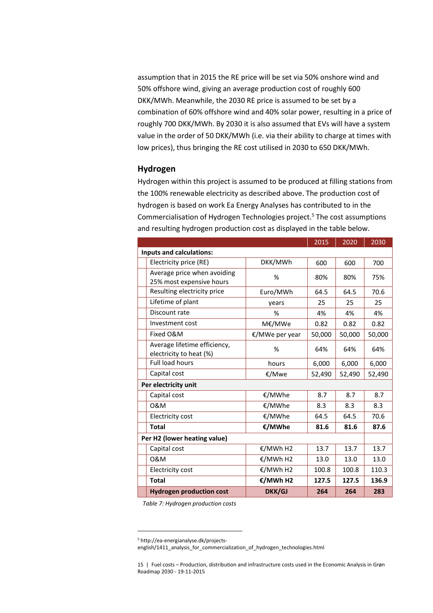assumption that in 2015 the RE price will be set via 50% onshore wind and 50% offshore wind, giving an average production cost of roughly 600 DKK/MWh. Meanwhile, the 2030 RE price is assumed to be set by a combination of 60% offshore wind and 40% solar power, resulting in a price of roughly 700 DKK/MWh. By 2030 it is also assumed that EVs will have a system value in the order of 50 DKK/MWh (i.e. via their ability to charge at times with low prices), thus bringing the RE cost utilised in 2030 to 650 DKK/MWh.

#### **Hydrogen**

Hydrogen within this project is assumed to be produced at filling stations from the 100% renewable electricity as described above. The production cost of hydrogen is based on work Ea Energy Analyses has contributed to in the Commercialisation of Hydrogen Technologies project.<sup>5</sup> The cost assumptions and resulting hydrogen production cost as displayed in the table below.

|                                                         |                | 2015   | 2020   | 2030   |
|---------------------------------------------------------|----------------|--------|--------|--------|
| Inputs and calculations:                                |                |        |        |        |
| Electricity price (RE)                                  | DKK/MWh        | 600    | 600    | 700    |
| Average price when avoiding<br>25% most expensive hours | %              | 80%    | 80%    | 75%    |
| Resulting electricity price                             | Euro/MWh       | 64.5   | 64.5   | 70.6   |
| Lifetime of plant                                       | vears          | 25     | 25     | 25     |
| Discount rate                                           | %              | 4%     | 4%     | 4%     |
| Investment cost                                         | M€/MWe         | 0.82   | 0.82   | 0.82   |
| Fixed O&M                                               | €/MWe per year | 50,000 | 50,000 | 50,000 |
| Average lifetime efficiency,<br>electricity to heat (%) | %              | 64%    | 64%    | 64%    |
| <b>Full load hours</b>                                  | hours          | 6,000  | 6,000  | 6,000  |
| Capital cost                                            | €/Mwe          | 52,490 | 52,490 | 52,490 |
| Per electricity unit                                    |                |        |        |        |
| Capital cost                                            | €/MWhe         | 8.7    | 8.7    | 8.7    |
| 0&M                                                     | €/MWhe         | 8.3    | 8.3    | 8.3    |
| <b>Electricity cost</b>                                 | €/MWhe         | 64.5   | 64.5   | 70.6   |
| <b>Total</b>                                            | €/MWhe         | 81.6   | 81.6   | 87.6   |
| Per H2 (lower heating value)                            |                |        |        |        |
| Capital cost                                            | €/MWh H2       | 13.7   | 13.7   | 13.7   |
| 0&M                                                     | €/MWh H2       | 13.0   | 13.0   | 13.0   |
| Electricity cost                                        | €/MWh H2       | 100.8  | 100.8  | 110.3  |
| <b>Total</b>                                            | €/MWh H2       | 127.5  | 127.5  | 136.9  |
| <b>Hydrogen production cost</b>                         | <b>DKK/GJ</b>  | 264    | 264    | 283    |

*Table 7: Hydrogen production costs*

 $\overline{\phantom{a}}$ 

<sup>5</sup> http://ea-energianalyse.dk/projects-

english/1411\_analysis\_for\_commercialization\_of\_hydrogen\_technologies.html

<sup>15 |</sup> Fuel costs – Production, distribution and infrastructure costs used in the Economic Analysis in Grøn Roadmap 2030 - 19-11-2015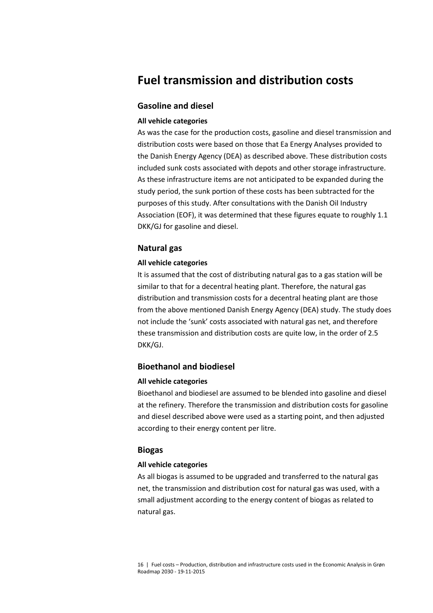# **Fuel transmission and distribution costs**

### **Gasoline and diesel**

#### **All vehicle categories**

As was the case for the production costs, gasoline and diesel transmission and distribution costs were based on those that Ea Energy Analyses provided to the Danish Energy Agency (DEA) as described above. These distribution costs included sunk costs associated with depots and other storage infrastructure. As these infrastructure items are not anticipated to be expanded during the study period, the sunk portion of these costs has been subtracted for the purposes of this study. After consultations with the Danish Oil Industry Association (EOF), it was determined that these figures equate to roughly 1.1 DKK/GJ for gasoline and diesel.

# **Natural gas**

#### **All vehicle categories**

It is assumed that the cost of distributing natural gas to a gas station will be similar to that for a decentral heating plant. Therefore, the natural gas distribution and transmission costs for a decentral heating plant are those from the above mentioned Danish Energy Agency (DEA) study. The study does not include the 'sunk' costs associated with natural gas net, and therefore these transmission and distribution costs are quite low, in the order of 2.5 DKK/GJ.

# **Bioethanol and biodiesel**

#### **All vehicle categories**

Bioethanol and biodiesel are assumed to be blended into gasoline and diesel at the refinery. Therefore the transmission and distribution costs for gasoline and diesel described above were used as a starting point, and then adjusted according to their energy content per litre.

#### **Biogas**

#### **All vehicle categories**

As all biogas is assumed to be upgraded and transferred to the natural gas net, the transmission and distribution cost for natural gas was used, with a small adjustment according to the energy content of biogas as related to natural gas.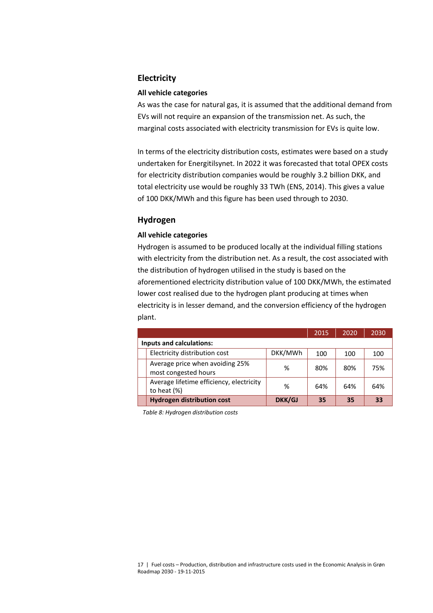# **Electricity**

#### **All vehicle categories**

As was the case for natural gas, it is assumed that the additional demand from EVs will not require an expansion of the transmission net. As such, the marginal costs associated with electricity transmission for EVs is quite low.

In terms of the electricity distribution costs, estimates were based on a study undertaken for Energitilsynet. In 2022 it was forecasted that total OPEX costs for electricity distribution companies would be roughly 3.2 billion DKK, and total electricity use would be roughly 33 TWh (ENS, 2014). This gives a value of 100 DKK/MWh and this figure has been used through to 2030.

# **Hydrogen**

#### **All vehicle categories**

Hydrogen is assumed to be produced locally at the individual filling stations with electricity from the distribution net. As a result, the cost associated with the distribution of hydrogen utilised in the study is based on the aforementioned electricity distribution value of 100 DKK/MWh, the estimated lower cost realised due to the hydrogen plant producing at times when electricity is in lesser demand, and the conversion efficiency of the hydrogen plant.

|                                                            |         | 2015 | 2020 | 2030 |  |  |
|------------------------------------------------------------|---------|------|------|------|--|--|
| <b>Inputs and calculations:</b>                            |         |      |      |      |  |  |
| Electricity distribution cost                              | DKK/MWh | 100  | 100  | 100  |  |  |
| Average price when avoiding 25%<br>most congested hours    | %       | 80%  | 80%  | 75%  |  |  |
| Average lifetime efficiency, electricity<br>to heat $(\%)$ | %       | 64%  | 64%  | 64%  |  |  |
| <b>Hydrogen distribution cost</b>                          | DKK/GJ  | 35   | 35   | 33   |  |  |

*Table 8: Hydrogen distribution costs*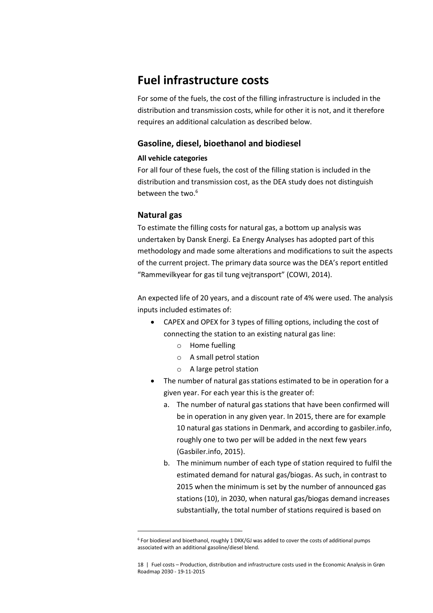# **Fuel infrastructure costs**

For some of the fuels, the cost of the filling infrastructure is included in the distribution and transmission costs, while for other it is not, and it therefore requires an additional calculation as described below.

# **Gasoline, diesel, bioethanol and biodiesel**

# **All vehicle categories**

For all four of these fuels, the cost of the filling station is included in the distribution and transmission cost, as the DEA study does not distinguish between the two.<sup>6</sup>

# **Natural gas**

 $\overline{\phantom{a}}$ 

To estimate the filling costs for natural gas, a bottom up analysis was undertaken by Dansk Energi. Ea Energy Analyses has adopted part of this methodology and made some alterations and modifications to suit the aspects of the current project. The primary data source was the DEA's report entitled "Rammevilkyear for gas til tung vejtransport" (COWI, 2014).

An expected life of 20 years, and a discount rate of 4% were used. The analysis inputs included estimates of:

- CAPEX and OPEX for 3 types of filling options, including the cost of connecting the station to an existing natural gas line:
	- o Home fuelling
	- o A small petrol station
	- o A large petrol station
- The number of natural gas stations estimated to be in operation for a given year. For each year this is the greater of:
	- a. The number of natural gas stations that have been confirmed will be in operation in any given year. In 2015, there are for example 10 natural gas stations in Denmark, and according to gasbiler.info, roughly one to two per will be added in the next few years (Gasbiler.info, 2015).
	- b. The minimum number of each type of station required to fulfil the estimated demand for natural gas/biogas. As such, in contrast to 2015 when the minimum is set by the number of announced gas stations (10), in 2030, when natural gas/biogas demand increases substantially, the total number of stations required is based on

<sup>6</sup> For biodiesel and bioethanol, roughly 1 DKK/GJ was added to cover the costs of additional pumps associated with an additional gasoline/diesel blend.

<sup>18 |</sup> Fuel costs – Production, distribution and infrastructure costs used in the Economic Analysis in Grøn Roadmap 2030 - 19-11-2015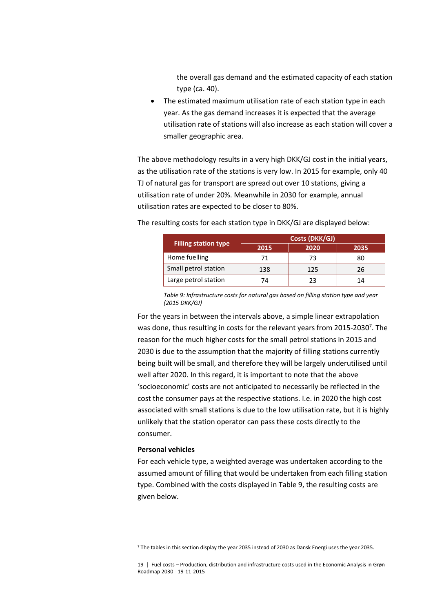the overall gas demand and the estimated capacity of each station type (ca. 40).

 The estimated maximum utilisation rate of each station type in each year. As the gas demand increases it is expected that the average utilisation rate of stations will also increase as each station will cover a smaller geographic area.

The above methodology results in a very high DKK/GJ cost in the initial years, as the utilisation rate of the stations is very low. In 2015 for example, only 40 TJ of natural gas for transport are spread out over 10 stations, giving a utilisation rate of under 20%. Meanwhile in 2030 for example, annual utilisation rates are expected to be closer to 80%.

The resulting costs for each station type in DKK/GJ are displayed below:

|                             | Costs (DKK/GJ) |      |      |  |
|-----------------------------|----------------|------|------|--|
| <b>Filling station type</b> | 2015           | 2020 | 2035 |  |
| Home fuelling               | 71             | 73   | 80   |  |
| Small petrol station        | 138            | 125  | 26   |  |
| Large petrol station        | 74             | 23   | 14   |  |

*Table 9: Infrastructure costs for natural gas based on filling station type and year (2015 DKK/GJ)*

<span id="page-18-0"></span>For the years in between the intervals above, a simple linear extrapolation was done, thus resulting in costs for the relevant years from 2015-2030<sup>7</sup>. The reason for the much higher costs for the small petrol stations in 2015 and 2030 is due to the assumption that the majority of filling stations currently being built will be small, and therefore they will be largely underutilised until well after 2020. In this regard, it is important to note that the above 'socioeconomic' costs are not anticipated to necessarily be reflected in the cost the consumer pays at the respective stations. I.e. in 2020 the high cost associated with small stations is due to the low utilisation rate, but it is highly unlikely that the station operator can pass these costs directly to the consumer.

#### **Personal vehicles**

l

For each vehicle type, a weighted average was undertaken according to the assumed amount of filling that would be undertaken from each filling station type. Combined with the costs displayed in [Table 9,](#page-18-0) the resulting costs are given below.

<sup>7</sup> The tables in this section display the year 2035 instead of 2030 as Dansk Energi uses the year 2035.

<sup>19 |</sup> Fuel costs – Production, distribution and infrastructure costs used in the Economic Analysis in Grøn Roadmap 2030 - 19-11-2015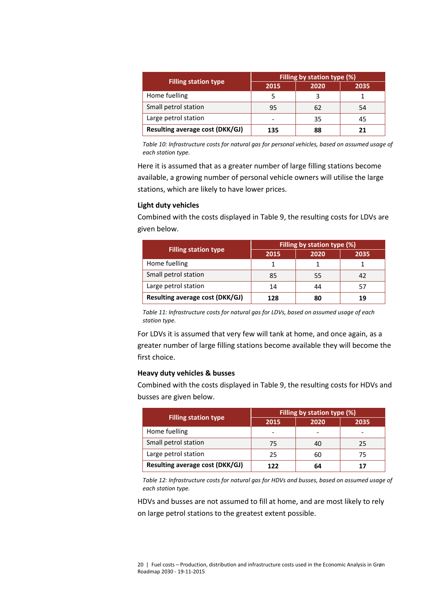|                                 | Filling by station type (%) |      |      |  |
|---------------------------------|-----------------------------|------|------|--|
| <b>Filling station type</b>     | 2015                        | 2020 | 2035 |  |
| Home fuelling                   |                             |      |      |  |
| Small petrol station            | 95                          | 62   | 54   |  |
| Large petrol station            | -                           | 35   | 45   |  |
| Resulting average cost (DKK/GJ) | 135                         | 88   |      |  |

*Table 10: Infrastructure costs for natural gas for personal vehicles, based on assumed usage of each station type.*

Here it is assumed that as a greater number of large filling stations become available, a growing number of personal vehicle owners will utilise the large stations, which are likely to have lower prices.

# **Light duty vehicles**

Combined with the costs displayed in [Table 9,](#page-18-0) the resulting costs for LDVs are given below.

|                                        | Filling by station type (%) |      |      |  |
|----------------------------------------|-----------------------------|------|------|--|
| <b>Filling station type</b>            | 2015                        | 2020 | 2035 |  |
| Home fuelling                          |                             |      |      |  |
| Small petrol station                   | 85                          | 55   | 42   |  |
| Large petrol station                   | 14                          | 44   | 57   |  |
| <b>Resulting average cost (DKK/GJ)</b> | 128                         | 80   | 19   |  |

*Table 11: Infrastructure costs for natural gas for LDVs, based on assumed usage of each station type.* 

For LDVs it is assumed that very few will tank at home, and once again, as a greater number of large filling stations become available they will become the first choice.

#### **Heavy duty vehicles & busses**

Combined with the costs displayed in [Table 9,](#page-18-0) the resulting costs for HDVs and busses are given below.

|                                 | Filling by station type (%) |      |      |  |
|---------------------------------|-----------------------------|------|------|--|
| <b>Filling station type</b>     | 2015                        | 2020 | 2035 |  |
| Home fuelling                   |                             |      |      |  |
| Small petrol station            | 75                          | 40   | 25   |  |
| Large petrol station            | 25                          | 60   | 75   |  |
| Resulting average cost (DKK/GJ) | 122                         | 64   | 17   |  |

*Table 12: Infrastructure costs for natural gas for HDVs and busses, based on assumed usage of each station type.* 

HDVs and busses are not assumed to fill at home, and are most likely to rely on large petrol stations to the greatest extent possible.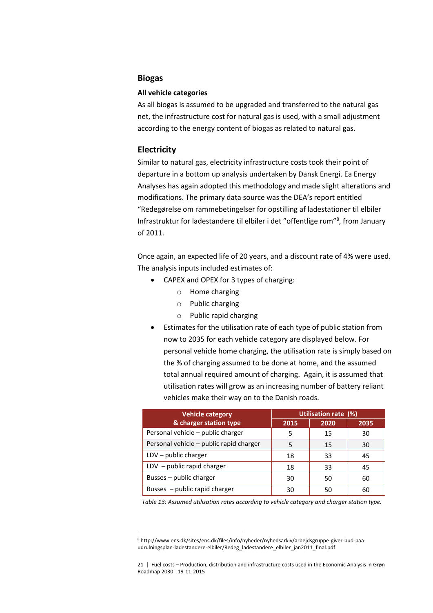#### **Biogas**

#### **All vehicle categories**

As all biogas is assumed to be upgraded and transferred to the natural gas net, the infrastructure cost for natural gas is used, with a small adjustment according to the energy content of biogas as related to natural gas.

#### **Electricity**

 $\overline{\phantom{a}}$ 

Similar to natural gas, electricity infrastructure costs took their point of departure in a bottom up analysis undertaken by Dansk Energi. Ea Energy Analyses has again adopted this methodology and made slight alterations and modifications. The primary data source was the DEA's report entitled "Redegørelse om rammebetingelser for opstilling af ladestationer til elbiler Infrastruktur for ladestandere til elbiler i det "offentlige rum"<sup>8</sup>, from January of 2011.

Once again, an expected life of 20 years, and a discount rate of 4% were used. The analysis inputs included estimates of:

- CAPEX and OPEX for 3 types of charging:
	- o Home charging
	- o Public charging
	- o Public rapid charging
- Estimates for the utilisation rate of each type of public station from now to 2035 for each vehicle category are displayed below. For personal vehicle home charging, the utilisation rate is simply based on the % of charging assumed to be done at home, and the assumed total annual required amount of charging. Again, it is assumed that utilisation rates will grow as an increasing number of battery reliant vehicles make their way on to the Danish roads.

| <b>Vehicle category</b>                 | Utilisation rate (%) |      |      |
|-----------------------------------------|----------------------|------|------|
| & charger station type                  | 2015                 | 2020 | 2035 |
| Personal vehicle - public charger       | 5                    | 15   | 30   |
| Personal vehicle – public rapid charger |                      | 15   | 30   |
| $LDV - public charger$                  | 18                   | 33   | 45   |
| $LDV - public rapid charger$            | 18                   | 33   | 45   |
| Busses - public charger                 | 30                   | 50   | 60   |
| Busses - public rapid charger           | 30                   | 50   | 60   |

 *Table 13: Assumed utilisation rates according to vehicle category and charger station type.*

<sup>8</sup> http://www.ens.dk/sites/ens.dk/files/info/nyheder/nyhedsarkiv/arbejdsgruppe-giver-bud-paaudrulningsplan-ladestandere-elbiler/Redeg\_ladestandere\_elbiler\_jan2011\_final.pdf

<sup>21 |</sup> Fuel costs – Production, distribution and infrastructure costs used in the Economic Analysis in Grøn Roadmap 2030 - 19-11-2015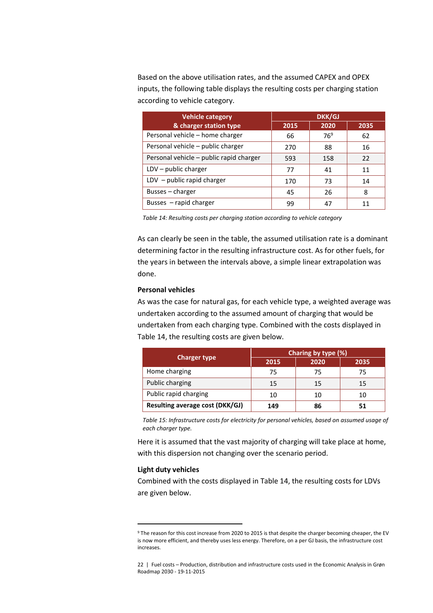Based on the above utilisation rates, and the assumed CAPEX and OPEX inputs, the following table displays the resulting costs per charging station according to vehicle category.

| <b>Vehicle category</b>                 | <b>DKK/GJ</b> |                 |      |
|-----------------------------------------|---------------|-----------------|------|
| & charger station type                  | 2015          | 2020            | 2035 |
| Personal vehicle - home charger         | 66            | 76 <sup>9</sup> | 62   |
| Personal vehicle - public charger       | 270           | 88              | 16   |
| Personal vehicle – public rapid charger | 593           | 158             | 22   |
| $LDV - public charger$                  | 77            | 41              | 11   |
| LDV - public rapid charger              | 170           | 73              | 14   |
| Busses - charger                        | 45            | 26              | 8    |
| Busses - rapid charger                  | 99            | 47              | 11   |

<span id="page-21-0"></span>*Table 14: Resulting costs per charging station according to vehicle category* 

As can clearly be seen in the table, the assumed utilisation rate is a dominant determining factor in the resulting infrastructure cost. As for other fuels, for the years in between the intervals above, a simple linear extrapolation was done.

#### **Personal vehicles**

As was the case for natural gas, for each vehicle type, a weighted average was undertaken according to the assumed amount of charging that would be undertaken from each charging type. Combined with the costs displayed in [Table 14,](#page-21-0) the resulting costs are given below.

| <b>Charger type</b>             | Charing by type (%) |      |      |  |
|---------------------------------|---------------------|------|------|--|
|                                 | 2015                | 2020 | 2035 |  |
| Home charging                   | 75                  | 75   | 75   |  |
| Public charging                 | 15                  | 15   | 15   |  |
| Public rapid charging           | 10                  | 10   | 10   |  |
| Resulting average cost (DKK/GJ) | 149                 | 86   | 51   |  |

*Table 15: Infrastructure costs for electricity for personal vehicles, based on assumed usage of each charger type.* 

Here it is assumed that the vast majority of charging will take place at home, with this dispersion not changing over the scenario period.

#### **Light duty vehicles**

 $\overline{\phantom{a}}$ 

Combined with the costs displayed in [Table 14,](#page-21-0) the resulting costs for LDVs are given below.

<sup>9</sup> The reason for this cost increase from 2020 to 2015 is that despite the charger becoming cheaper, the EV is now more efficient, and thereby uses less energy. Therefore, on a per GJ basis, the infrastructure cost increases.

<sup>22 |</sup> Fuel costs – Production, distribution and infrastructure costs used in the Economic Analysis in Grøn Roadmap 2030 - 19-11-2015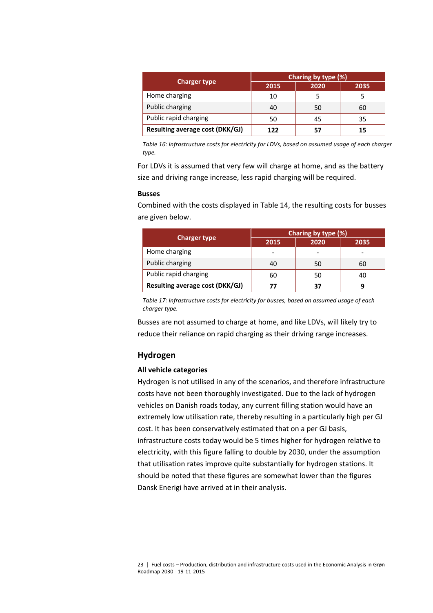| <b>Charger type</b>             | Charing by type (%) |      |      |
|---------------------------------|---------------------|------|------|
|                                 | 2015                | 2020 | 2035 |
| Home charging                   | 10                  |      |      |
| Public charging                 | 40                  | 50   | 60   |
| Public rapid charging           | 50                  | 45   | 35   |
| Resulting average cost (DKK/GJ) | 122                 | 57   | 15   |

*Table 16: Infrastructure costs for electricity for LDVs, based on assumed usage of each charger type.* 

For LDVs it is assumed that very few will charge at home, and as the battery size and driving range increase, less rapid charging will be required.

#### **Busses**

Combined with the costs displayed in [Table 14,](#page-21-0) the resulting costs for busses are given below.

| <b>Charger type</b>             | Charing by type (%) |      |      |
|---------------------------------|---------------------|------|------|
|                                 | 2015                | 2020 | 2035 |
| Home charging                   | ٠                   |      |      |
| Public charging                 | 40                  | 50   | 60   |
| Public rapid charging           | 60                  | 50   | 40   |
| Resulting average cost (DKK/GJ) | 77                  | 37   |      |

*Table 17: Infrastructure costs for electricity for busses, based on assumed usage of each charger type.* 

Busses are not assumed to charge at home, and like LDVs, will likely try to reduce their reliance on rapid charging as their driving range increases.

#### **Hydrogen**

# **All vehicle categories**

Hydrogen is not utilised in any of the scenarios, and therefore infrastructure costs have not been thoroughly investigated. Due to the lack of hydrogen vehicles on Danish roads today, any current filling station would have an extremely low utilisation rate, thereby resulting in a particularly high per GJ cost. It has been conservatively estimated that on a per GJ basis, infrastructure costs today would be 5 times higher for hydrogen relative to electricity, with this figure falling to double by 2030, under the assumption that utilisation rates improve quite substantially for hydrogen stations. It should be noted that these figures are somewhat lower than the figures Dansk Enerigi have arrived at in their analysis.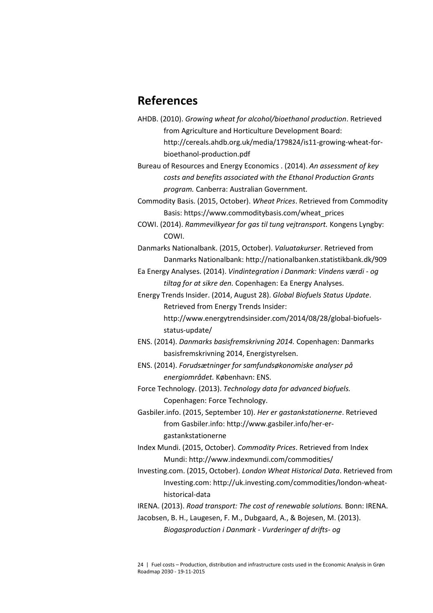# **References**

AHDB. (2010). *Growing wheat for alcohol/bioethanol production*. Retrieved from Agriculture and Horticulture Development Board: http://cereals.ahdb.org.uk/media/179824/is11-growing-wheat-forbioethanol-production.pdf

Bureau of Resources and Energy Economics . (2014). *An assessment of key costs and benefits associated with the Ethanol Production Grants program.* Canberra: Australian Government.

Commodity Basis. (2015, October). *Wheat Prices*. Retrieved from Commodity Basis: https://www.commoditybasis.com/wheat\_prices

COWI. (2014). *Rammevilkyear for gas til tung vejtransport.* Kongens Lyngby: COWI.

Danmarks Nationalbank. (2015, October). *Valuatakurser*. Retrieved from Danmarks Nationalbank: http://nationalbanken.statistikbank.dk/909

Ea Energy Analyses. (2014). *Vindintegration i Danmark: Vindens værdi - og tiltag for at sikre den.* Copenhagen: Ea Energy Analyses.

Energy Trends Insider. (2014, August 28). *Global Biofuels Status Update*. Retrieved from Energy Trends Insider:

> http://www.energytrendsinsider.com/2014/08/28/global-biofuelsstatus-update/

ENS. (2014). *Danmarks basisfremskrivning 2014.* Copenhagen: Danmarks basisfremskrivning 2014, Energistyrelsen.

ENS. (2014). *Forudsætninger for samfundsøkonomiske analyser på energiområdet.* København: ENS.

Force Technology. (2013). *Technology data for advanced biofuels.* Copenhagen: Force Technology.

Gasbiler.info. (2015, September 10). *Her er gastankstationerne*. Retrieved from Gasbiler.info: http://www.gasbiler.info/her-ergastankstationerne

- Index Mundi. (2015, October). *Commodity Prices*. Retrieved from Index Mundi: http://www.indexmundi.com/commodities/
- Investing.com. (2015, October). *London Wheat Historical Data*. Retrieved from Investing.com: http://uk.investing.com/commodities/london-wheathistorical-data
- IRENA. (2013). *Road transport: The cost of renewable solutions.* Bonn: IRENA.

Jacobsen, B. H., Laugesen, F. M., Dubgaard, A., & Bojesen, M. (2013). *Biogasproduction i Danmark - Vurderinger af drifts- og*